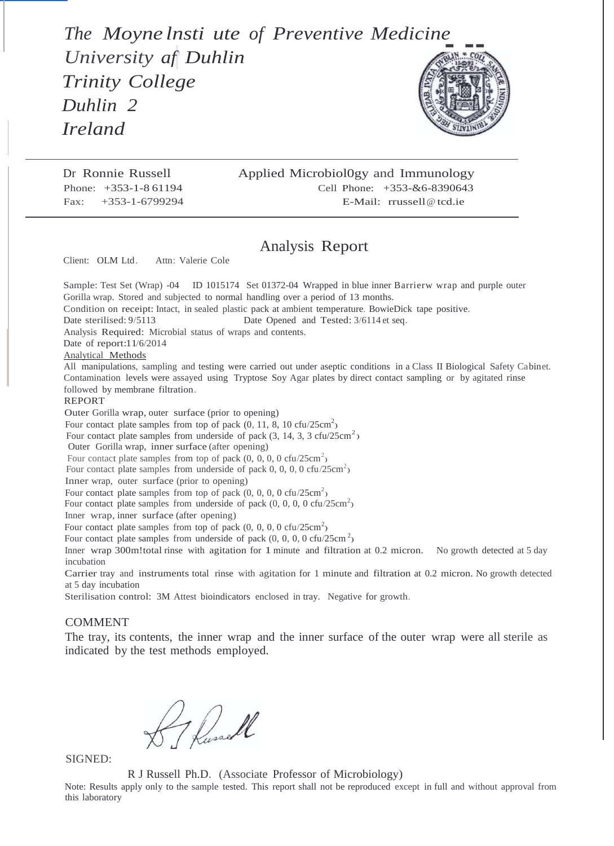*The Moyne lnsti ute of Preventive Medicine University af' Duhlin Trinity College Duhlin 2*

*Ireland*



Dr Ronnie Russell Phone: +353-1-8 61194 Fax: +353-1-6799294

## Applied Microbiol0gy and Immunology Cell Phone: +353-&6-8390643 E-Mail: rrussell@ tcd.ie

## Analysis Report

Client: OLM Ltd. Attn: Valerie Cole

Four contact plate samples from underside of pack  $(3, 14, 3, 3 \text{ cfu}/25 \text{cm}^2)$ Sample: Test Set (Wrap) -04 ID 1015174 Set 01372-04 Wrapped in blue inner Barrierw wrap and purple outer Gorilla wrap. Stored and subjected to normal handling over a period of 13 months. Condition on receipt: Intact, in sealed plastic pack at ambient temperature. BowieDick tape positive. Date sterilised:  $9/5113$  Date Opened and Tested:  $3/6114$  et seq. Analysis Required: Microbial status of wraps and contents. Date of report:11/6/2014 Analytical Methods All manipulations, sampling and testing were carried out under aseptic conditions in a Class II Biological Safety Cabinet. Contamination levels were assayed using Tryptose Soy Agar plates by direct contact sampling or by agitated rinse followed by membrane filtration. REPORT Outer Gorilla wrap, outer surface (prior to opening) Four contact plate samples from top of pack  $(0, 11, 8, 10 \text{ c} \text{fu}/25 \text{cm}^2)$ Outer Gorilla wrap, inner surface (after opening) Four contact plate samples from top of pack  $(0, 0, 0, 0 \text{ cfu}/25 \text{ cm}^2)$ Four contact plate samples from underside of pack 0, 0, 0, 0 cfu/25cm<sup>2</sup>) Inner wrap, outer surface (prior to opening) Four contact plate samples from top of pack  $(0, 0, 0, 0 \text{ cfu}/25 \text{cm}^2)$ Four contact plate samples from underside of pack  $(0, 0, 0, 0, 0 \text{ cfu}/25 \text{cm}^2)$ Inner wrap, inner surface (after opening) Four contact plate samples from top of pack  $(0, 0, 0, 0 \text{ cfu}/25 \text{cm}^2)$ Four contact plate samples from underside of pack  $(0, 0, 0, 0, 0 \text{ cfu}/25 \text{cm}^2)$ Inner wrap 300m!total rinse with agitation for 1 minute and filtration at 0.2 micron. No growth detected at 5 day incubation Carrier tray and instruments total rinse with agitation for 1 minute and filtration at 0.2 micron. No growth detected at 5 day incubation Sterilisation control: 3M Attest bioindicators enclosed in tray. Negative for growth.

## COMMENT

The tray, its contents, the inner wrap and the inner surface of the outer wrap were all sterile as indicated by the test methods employed.

7 Dussell

SIGNED:

R J Russell Ph.D. (Associate Professor of Microbiology)

Note: Results apply only to the sample tested. This report shall not be reproduced except in full and without approval from this laboratory